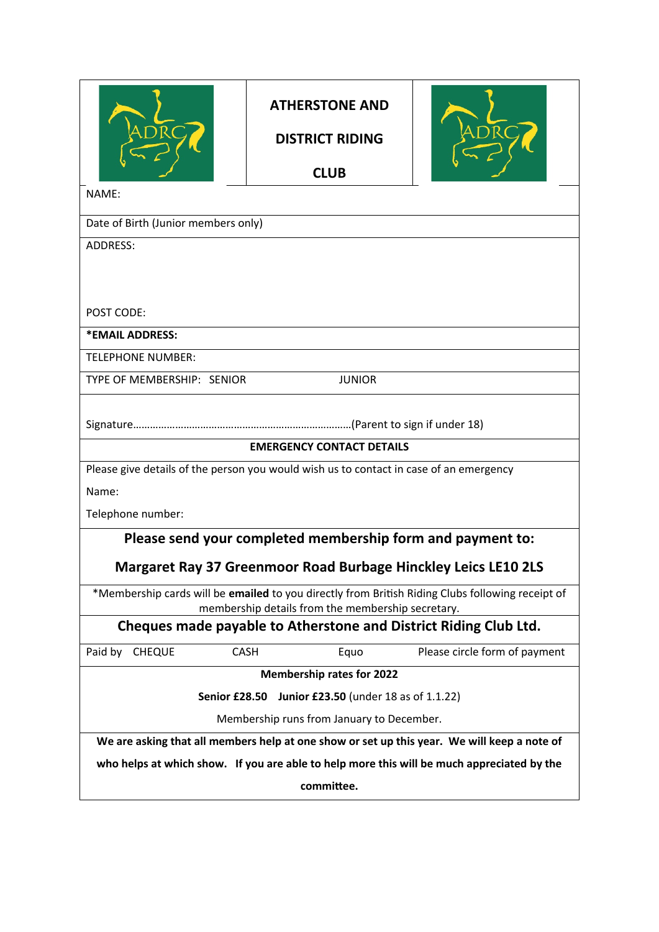| <b>ATHERSTONE AND</b><br><b>DISTRICT RIDING</b><br><b>CLUB</b>                                                                                        |  |
|-------------------------------------------------------------------------------------------------------------------------------------------------------|--|
| NAME:                                                                                                                                                 |  |
| Date of Birth (Junior members only)                                                                                                                   |  |
| <b>ADDRESS:</b>                                                                                                                                       |  |
| POST CODE:                                                                                                                                            |  |
| *EMAIL ADDRESS:                                                                                                                                       |  |
| <b>TELEPHONE NUMBER:</b>                                                                                                                              |  |
| TYPE OF MEMBERSHIP: SENIOR<br><b>JUNIOR</b>                                                                                                           |  |
|                                                                                                                                                       |  |
| <b>EMERGENCY CONTACT DETAILS</b>                                                                                                                      |  |
| Please give details of the person you would wish us to contact in case of an emergency<br>Name:                                                       |  |
| Telephone number:                                                                                                                                     |  |
|                                                                                                                                                       |  |
| Please send your completed membership form and payment to:<br><b>Margaret Ray 37 Greenmoor Road Burbage Hinckley Leics LE10 2LS</b>                   |  |
| *Membership cards will be emailed to you directly from British Riding Clubs following receipt of<br>membership details from the membership secretary. |  |
| Cheques made payable to Atherstone and District Riding Club Ltd.                                                                                      |  |
| Paid by<br><b>CASH</b><br>Equo<br>Please circle form of payment<br><b>CHEQUE</b>                                                                      |  |
| <b>Membership rates for 2022</b>                                                                                                                      |  |
| Junior £23.50 (under 18 as of 1.1.22)<br>Senior £28.50                                                                                                |  |
| Membership runs from January to December.                                                                                                             |  |
| We are asking that all members help at one show or set up this year. We will keep a note of                                                           |  |
| who helps at which show. If you are able to help more this will be much appreciated by the                                                            |  |
| committee.                                                                                                                                            |  |